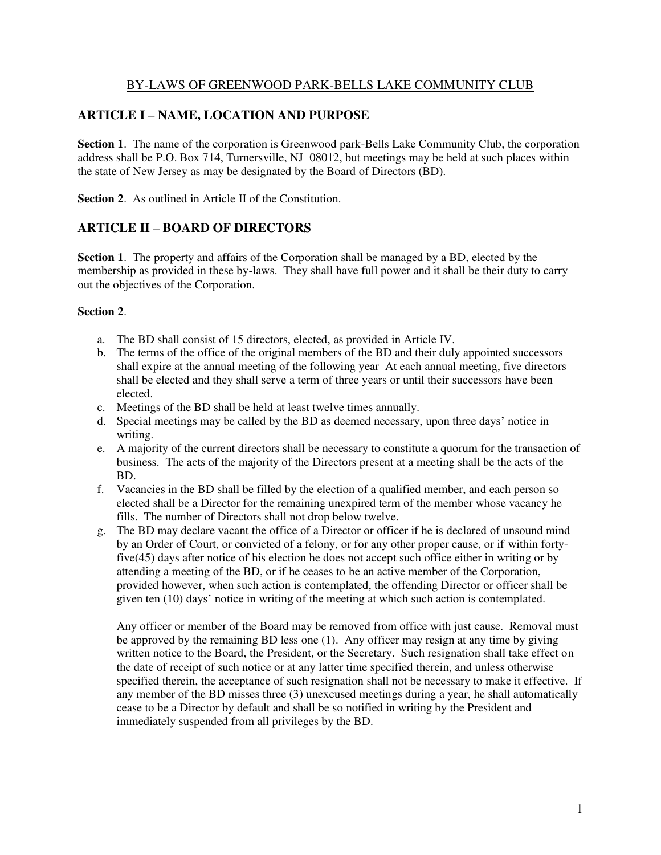#### BY-LAWS OF GREENWOOD PARK-BELLS LAKE COMMUNITY CLUB

#### **ARTICLE I – NAME, LOCATION AND PURPOSE**

**Section 1**. The name of the corporation is Greenwood park-Bells Lake Community Club, the corporation address shall be P.O. Box 714, Turnersville, NJ 08012, but meetings may be held at such places within the state of New Jersey as may be designated by the Board of Directors (BD).

**Section 2.** As outlined in Article II of the Constitution.

#### **ARTICLE II – BOARD OF DIRECTORS**

**Section 1**. The property and affairs of the Corporation shall be managed by a BD, elected by the membership as provided in these by-laws. They shall have full power and it shall be their duty to carry out the objectives of the Corporation.

#### **Section 2**.

- a. The BD shall consist of 15 directors, elected, as provided in Article IV.
- b. The terms of the office of the original members of the BD and their duly appointed successors shall expire at the annual meeting of the following year At each annual meeting, five directors shall be elected and they shall serve a term of three years or until their successors have been elected.
- c. Meetings of the BD shall be held at least twelve times annually.
- d. Special meetings may be called by the BD as deemed necessary, upon three days' notice in writing.
- e. A majority of the current directors shall be necessary to constitute a quorum for the transaction of business. The acts of the majority of the Directors present at a meeting shall be the acts of the BD.
- f. Vacancies in the BD shall be filled by the election of a qualified member, and each person so elected shall be a Director for the remaining unexpired term of the member whose vacancy he fills. The number of Directors shall not drop below twelve.
- g. The BD may declare vacant the office of a Director or officer if he is declared of unsound mind by an Order of Court, or convicted of a felony, or for any other proper cause, or if within fortyfive(45) days after notice of his election he does not accept such office either in writing or by attending a meeting of the BD, or if he ceases to be an active member of the Corporation, provided however, when such action is contemplated, the offending Director or officer shall be given ten (10) days' notice in writing of the meeting at which such action is contemplated.

Any officer or member of the Board may be removed from office with just cause. Removal must be approved by the remaining BD less one (1). Any officer may resign at any time by giving written notice to the Board, the President, or the Secretary. Such resignation shall take effect on the date of receipt of such notice or at any latter time specified therein, and unless otherwise specified therein, the acceptance of such resignation shall not be necessary to make it effective. If any member of the BD misses three (3) unexcused meetings during a year, he shall automatically cease to be a Director by default and shall be so notified in writing by the President and immediately suspended from all privileges by the BD.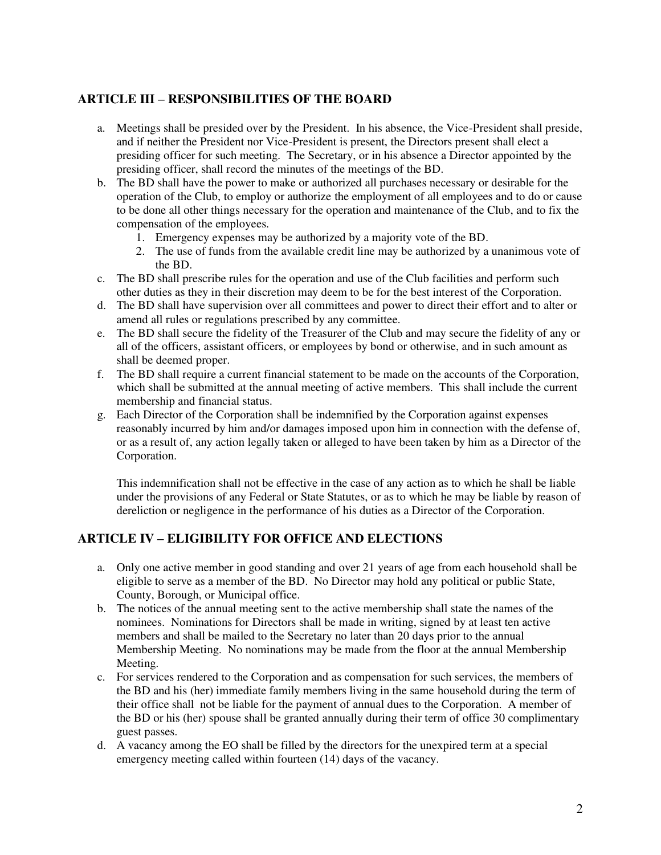# **ARTICLE III – RESPONSIBILITIES OF THE BOARD**

- a. Meetings shall be presided over by the President. In his absence, the Vice-President shall preside, and if neither the President nor Vice-President is present, the Directors present shall elect a presiding officer for such meeting. The Secretary, or in his absence a Director appointed by the presiding officer, shall record the minutes of the meetings of the BD.
- b. The BD shall have the power to make or authorized all purchases necessary or desirable for the operation of the Club, to employ or authorize the employment of all employees and to do or cause to be done all other things necessary for the operation and maintenance of the Club, and to fix the compensation of the employees.
	- 1. Emergency expenses may be authorized by a majority vote of the BD.
	- 2. The use of funds from the available credit line may be authorized by a unanimous vote of the BD.
- c. The BD shall prescribe rules for the operation and use of the Club facilities and perform such other duties as they in their discretion may deem to be for the best interest of the Corporation.
- d. The BD shall have supervision over all committees and power to direct their effort and to alter or amend all rules or regulations prescribed by any committee.
- e. The BD shall secure the fidelity of the Treasurer of the Club and may secure the fidelity of any or all of the officers, assistant officers, or employees by bond or otherwise, and in such amount as shall be deemed proper.
- f. The BD shall require a current financial statement to be made on the accounts of the Corporation, which shall be submitted at the annual meeting of active members. This shall include the current membership and financial status.
- g. Each Director of the Corporation shall be indemnified by the Corporation against expenses reasonably incurred by him and/or damages imposed upon him in connection with the defense of, or as a result of, any action legally taken or alleged to have been taken by him as a Director of the Corporation.

This indemnification shall not be effective in the case of any action as to which he shall be liable under the provisions of any Federal or State Statutes, or as to which he may be liable by reason of dereliction or negligence in the performance of his duties as a Director of the Corporation.

### **ARTICLE IV – ELIGIBILITY FOR OFFICE AND ELECTIONS**

- a. Only one active member in good standing and over 21 years of age from each household shall be eligible to serve as a member of the BD. No Director may hold any political or public State, County, Borough, or Municipal office.
- b. The notices of the annual meeting sent to the active membership shall state the names of the nominees. Nominations for Directors shall be made in writing, signed by at least ten active members and shall be mailed to the Secretary no later than 20 days prior to the annual Membership Meeting. No nominations may be made from the floor at the annual Membership Meeting.
- c. For services rendered to the Corporation and as compensation for such services, the members of the BD and his (her) immediate family members living in the same household during the term of their office shall not be liable for the payment of annual dues to the Corporation. A member of the BD or his (her) spouse shall be granted annually during their term of office 30 complimentary guest passes.
- d. A vacancy among the EO shall be filled by the directors for the unexpired term at a special emergency meeting called within fourteen (14) days of the vacancy.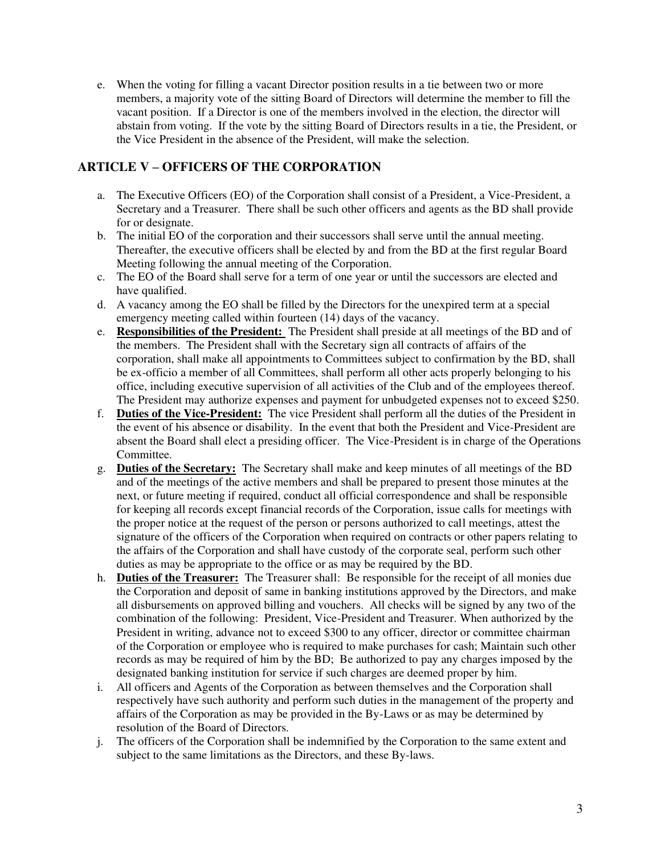e. When the voting for filling a vacant Director position results in a tie between two or more members, a majority vote of the sitting Board of Directors will determine the member to fill the vacant position. If a Director is one of the members involved in the election, the director will abstain from voting. If the vote by the sitting Board of Directors results in a tie, the President, or the Vice President in the absence of the President, will make the selection.

### **ARTICLE V – OFFICERS OF THE CORPORATION**

- a. The Executive Officers (EO) of the Corporation shall consist of a President, a Vice-President, a Secretary and a Treasurer. There shall be such other officers and agents as the BD shall provide for or designate.
- b. The initial EO of the corporation and their successors shall serve until the annual meeting. Thereafter, the executive officers shall be elected by and from the BD at the first regular Board Meeting following the annual meeting of the Corporation.
- c. The EO of the Board shall serve for a term of one year or until the successors are elected and have qualified.
- d. A vacancy among the EO shall be filled by the Directors for the unexpired term at a special emergency meeting called within fourteen (14) days of the vacancy.
- e. **Responsibilities of the President:** The President shall preside at all meetings of the BD and of the members. The President shall with the Secretary sign all contracts of affairs of the corporation, shall make all appointments to Committees subject to confirmation by the BD, shall be ex-officio a member of all Committees, shall perform all other acts properly belonging to his office, including executive supervision of all activities of the Club and of the employees thereof. The President may authorize expenses and payment for unbudgeted expenses not to exceed \$250.
- f. **Duties of the Vice-President:** The vice President shall perform all the duties of the President in the event of his absence or disability. In the event that both the President and Vice-President are absent the Board shall elect a presiding officer. The Vice-President is in charge of the Operations **Committee**
- g. **Duties of the Secretary:** The Secretary shall make and keep minutes of all meetings of the BD and of the meetings of the active members and shall be prepared to present those minutes at the next, or future meeting if required, conduct all official correspondence and shall be responsible for keeping all records except financial records of the Corporation, issue calls for meetings with the proper notice at the request of the person or persons authorized to call meetings, attest the signature of the officers of the Corporation when required on contracts or other papers relating to the affairs of the Corporation and shall have custody of the corporate seal, perform such other duties as may be appropriate to the office or as may be required by the BD.
- h. **Duties of the Treasurer:** The Treasurer shall: Be responsible for the receipt of all monies due the Corporation and deposit of same in banking institutions approved by the Directors, and make all disbursements on approved billing and vouchers. All checks will be signed by any two of the combination of the following: President, Vice-President and Treasurer. When authorized by the President in writing, advance not to exceed \$300 to any officer, director or committee chairman of the Corporation or employee who is required to make purchases for cash; Maintain such other records as may be required of him by the BD; Be authorized to pay any charges imposed by the designated banking institution for service if such charges are deemed proper by him.
- i. All officers and Agents of the Corporation as between themselves and the Corporation shall respectively have such authority and perform such duties in the management of the property and affairs of the Corporation as may be provided in the By-Laws or as may be determined by resolution of the Board of Directors.
- j. The officers of the Corporation shall be indemnified by the Corporation to the same extent and subject to the same limitations as the Directors, and these By-laws.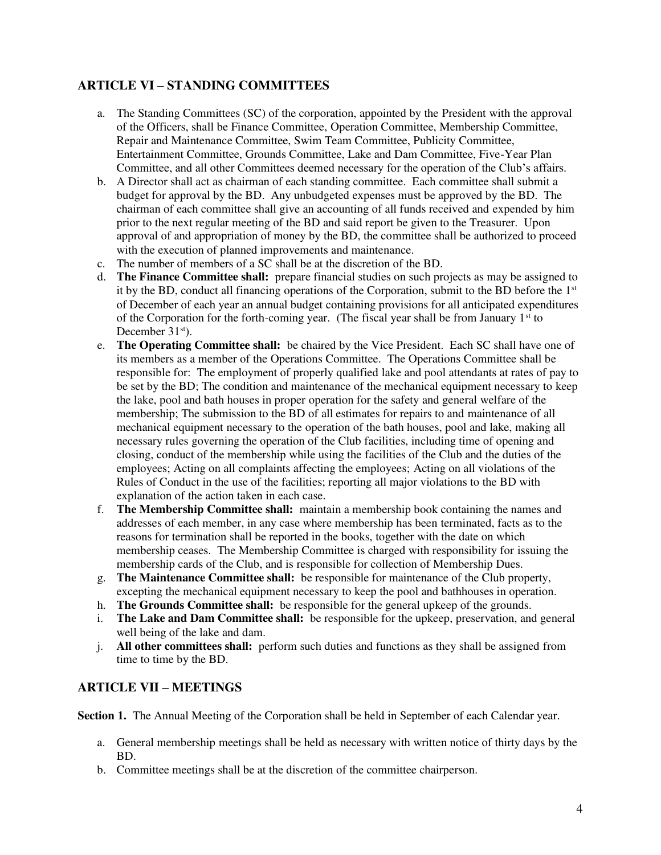# **ARTICLE VI – STANDING COMMITTEES**

- a. The Standing Committees (SC) of the corporation, appointed by the President with the approval of the Officers, shall be Finance Committee, Operation Committee, Membership Committee, Repair and Maintenance Committee, Swim Team Committee, Publicity Committee, Entertainment Committee, Grounds Committee, Lake and Dam Committee, Five-Year Plan Committee, and all other Committees deemed necessary for the operation of the Club's affairs.
- b. A Director shall act as chairman of each standing committee. Each committee shall submit a budget for approval by the BD. Any unbudgeted expenses must be approved by the BD. The chairman of each committee shall give an accounting of all funds received and expended by him prior to the next regular meeting of the BD and said report be given to the Treasurer. Upon approval of and appropriation of money by the BD, the committee shall be authorized to proceed with the execution of planned improvements and maintenance.
- c. The number of members of a SC shall be at the discretion of the BD.
- d. **The Finance Committee shall:** prepare financial studies on such projects as may be assigned to it by the BD, conduct all financing operations of the Corporation, submit to the BD before the 1st of December of each year an annual budget containing provisions for all anticipated expenditures of the Corporation for the forth-coming year. (The fiscal year shall be from January  $1<sup>st</sup>$  to December 31<sup>st</sup>).
- e. **The Operating Committee shall:** be chaired by the Vice President. Each SC shall have one of its members as a member of the Operations Committee. The Operations Committee shall be responsible for: The employment of properly qualified lake and pool attendants at rates of pay to be set by the BD; The condition and maintenance of the mechanical equipment necessary to keep the lake, pool and bath houses in proper operation for the safety and general welfare of the membership; The submission to the BD of all estimates for repairs to and maintenance of all mechanical equipment necessary to the operation of the bath houses, pool and lake, making all necessary rules governing the operation of the Club facilities, including time of opening and closing, conduct of the membership while using the facilities of the Club and the duties of the employees; Acting on all complaints affecting the employees; Acting on all violations of the Rules of Conduct in the use of the facilities; reporting all major violations to the BD with explanation of the action taken in each case.
- f. **The Membership Committee shall:** maintain a membership book containing the names and addresses of each member, in any case where membership has been terminated, facts as to the reasons for termination shall be reported in the books, together with the date on which membership ceases. The Membership Committee is charged with responsibility for issuing the membership cards of the Club, and is responsible for collection of Membership Dues.
- g. **The Maintenance Committee shall:** be responsible for maintenance of the Club property, excepting the mechanical equipment necessary to keep the pool and bathhouses in operation.
- h. **The Grounds Committee shall:** be responsible for the general upkeep of the grounds.
- i. **The Lake and Dam Committee shall:** be responsible for the upkeep, preservation, and general well being of the lake and dam.
- j. **All other committees shall:** perform such duties and functions as they shall be assigned from time to time by the BD.

### **ARTICLE VII – MEETINGS**

**Section 1.** The Annual Meeting of the Corporation shall be held in September of each Calendar year.

- a. General membership meetings shall be held as necessary with written notice of thirty days by the BD.
- b. Committee meetings shall be at the discretion of the committee chairperson.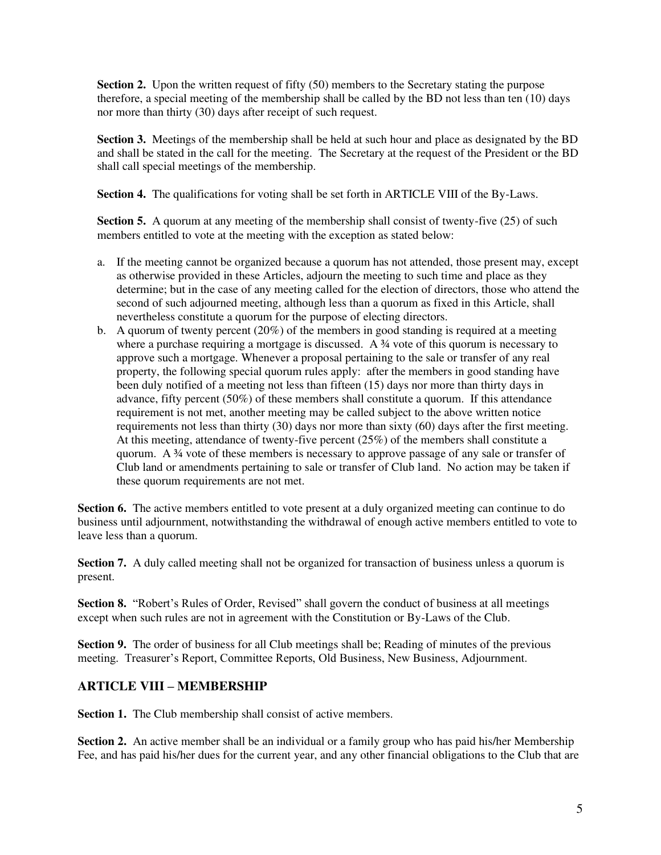**Section 2.** Upon the written request of fifty (50) members to the Secretary stating the purpose therefore, a special meeting of the membership shall be called by the BD not less than ten (10) days nor more than thirty (30) days after receipt of such request.

**Section 3.** Meetings of the membership shall be held at such hour and place as designated by the BD and shall be stated in the call for the meeting. The Secretary at the request of the President or the BD shall call special meetings of the membership.

**Section 4.** The qualifications for voting shall be set forth in ARTICLE VIII of the By-Laws.

**Section 5.** A quorum at any meeting of the membership shall consist of twenty-five (25) of such members entitled to vote at the meeting with the exception as stated below:

- a. If the meeting cannot be organized because a quorum has not attended, those present may, except as otherwise provided in these Articles, adjourn the meeting to such time and place as they determine; but in the case of any meeting called for the election of directors, those who attend the second of such adjourned meeting, although less than a quorum as fixed in this Article, shall nevertheless constitute a quorum for the purpose of electing directors.
- b. A quorum of twenty percent (20%) of the members in good standing is required at a meeting where a purchase requiring a mortgage is discussed. A  $\frac{3}{4}$  vote of this quorum is necessary to approve such a mortgage. Whenever a proposal pertaining to the sale or transfer of any real property, the following special quorum rules apply: after the members in good standing have been duly notified of a meeting not less than fifteen (15) days nor more than thirty days in advance, fifty percent (50%) of these members shall constitute a quorum. If this attendance requirement is not met, another meeting may be called subject to the above written notice requirements not less than thirty (30) days nor more than sixty (60) days after the first meeting. At this meeting, attendance of twenty-five percent (25%) of the members shall constitute a quorum. A ¾ vote of these members is necessary to approve passage of any sale or transfer of Club land or amendments pertaining to sale or transfer of Club land. No action may be taken if these quorum requirements are not met.

**Section 6.** The active members entitled to vote present at a duly organized meeting can continue to do business until adjournment, notwithstanding the withdrawal of enough active members entitled to vote to leave less than a quorum.

**Section 7.** A duly called meeting shall not be organized for transaction of business unless a quorum is present.

**Section 8.** "Robert's Rules of Order, Revised" shall govern the conduct of business at all meetings except when such rules are not in agreement with the Constitution or By-Laws of the Club.

**Section 9.** The order of business for all Club meetings shall be; Reading of minutes of the previous meeting. Treasurer's Report, Committee Reports, Old Business, New Business, Adjournment.

### **ARTICLE VIII – MEMBERSHIP**

**Section 1.** The Club membership shall consist of active members.

**Section 2.** An active member shall be an individual or a family group who has paid his/her Membership Fee, and has paid his/her dues for the current year, and any other financial obligations to the Club that are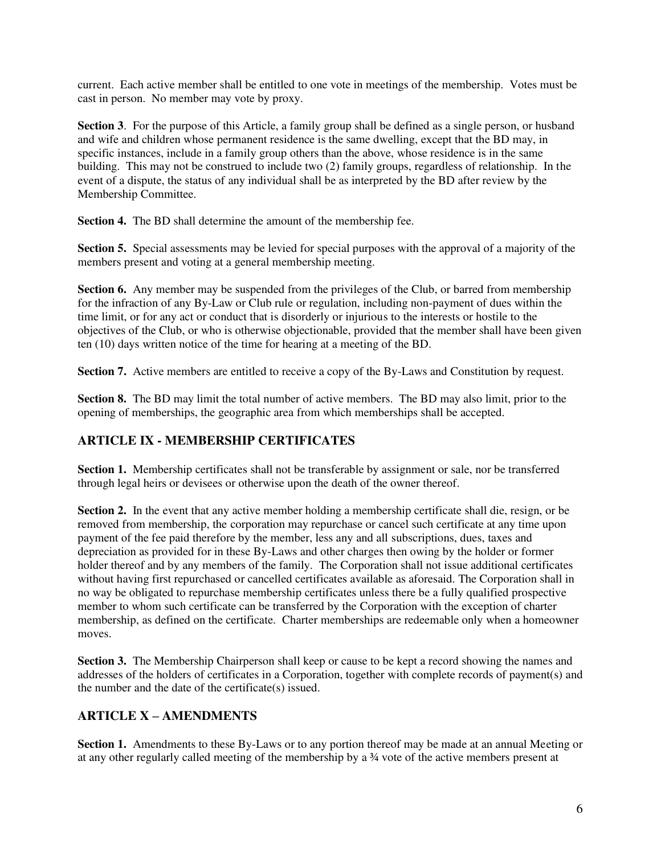current. Each active member shall be entitled to one vote in meetings of the membership. Votes must be cast in person. No member may vote by proxy.

**Section 3.** For the purpose of this Article, a family group shall be defined as a single person, or husband and wife and children whose permanent residence is the same dwelling, except that the BD may, in specific instances, include in a family group others than the above, whose residence is in the same building. This may not be construed to include two (2) family groups, regardless of relationship. In the event of a dispute, the status of any individual shall be as interpreted by the BD after review by the Membership Committee.

**Section 4.** The BD shall determine the amount of the membership fee.

**Section 5.** Special assessments may be levied for special purposes with the approval of a majority of the members present and voting at a general membership meeting.

**Section 6.** Any member may be suspended from the privileges of the Club, or barred from membership for the infraction of any By-Law or Club rule or regulation, including non-payment of dues within the time limit, or for any act or conduct that is disorderly or injurious to the interests or hostile to the objectives of the Club, or who is otherwise objectionable, provided that the member shall have been given ten (10) days written notice of the time for hearing at a meeting of the BD.

**Section 7.** Active members are entitled to receive a copy of the By-Laws and Constitution by request.

**Section 8.** The BD may limit the total number of active members. The BD may also limit, prior to the opening of memberships, the geographic area from which memberships shall be accepted.

# **ARTICLE IX - MEMBERSHIP CERTIFICATES**

**Section 1.** Membership certificates shall not be transferable by assignment or sale, nor be transferred through legal heirs or devisees or otherwise upon the death of the owner thereof.

**Section 2.** In the event that any active member holding a membership certificate shall die, resign, or be removed from membership, the corporation may repurchase or cancel such certificate at any time upon payment of the fee paid therefore by the member, less any and all subscriptions, dues, taxes and depreciation as provided for in these By-Laws and other charges then owing by the holder or former holder thereof and by any members of the family. The Corporation shall not issue additional certificates without having first repurchased or cancelled certificates available as aforesaid. The Corporation shall in no way be obligated to repurchase membership certificates unless there be a fully qualified prospective member to whom such certificate can be transferred by the Corporation with the exception of charter membership, as defined on the certificate. Charter memberships are redeemable only when a homeowner moves.

**Section 3.** The Membership Chairperson shall keep or cause to be kept a record showing the names and addresses of the holders of certificates in a Corporation, together with complete records of payment(s) and the number and the date of the certificate(s) issued.

### **ARTICLE X – AMENDMENTS**

**Section 1.** Amendments to these By-Laws or to any portion thereof may be made at an annual Meeting or at any other regularly called meeting of the membership by a ¾ vote of the active members present at